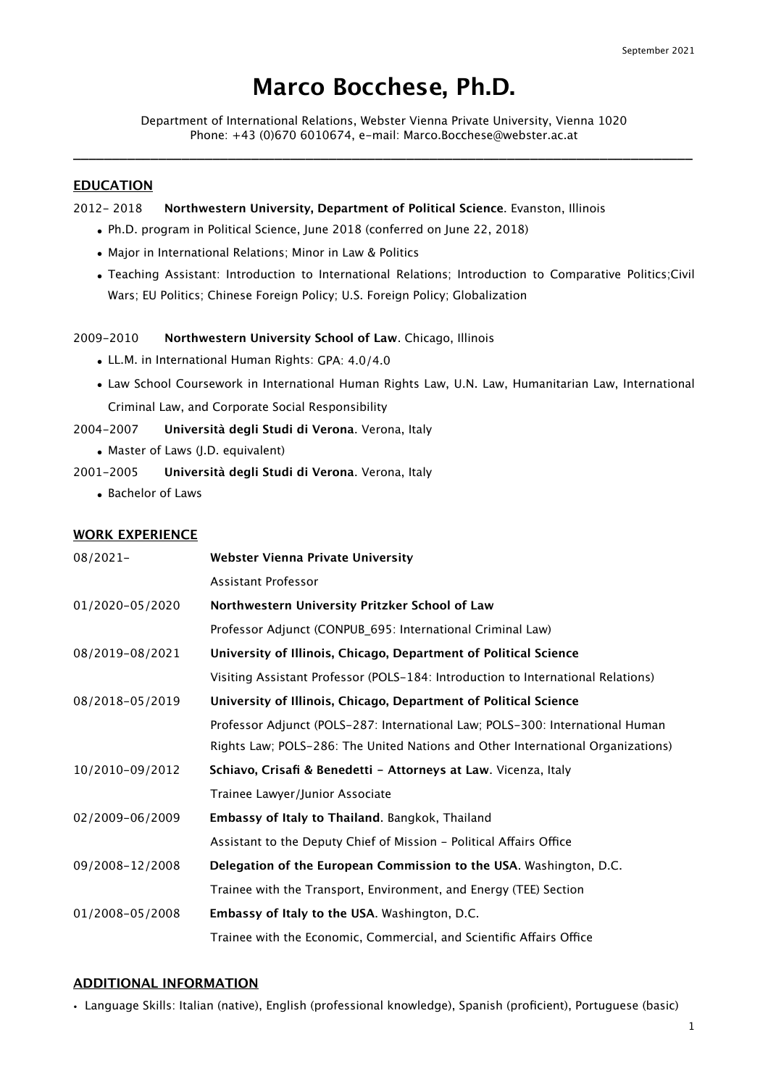# **Marco Bocchese, Ph.D.**

Department of International Relations, Webster Vienna Private University, Vienna 1020 Phone: +43 (0)670 6010674, e-mail: Marco.Bocchese@webster.ac.at \_\_\_\_\_\_\_\_\_\_\_\_\_\_\_\_\_\_\_\_\_\_\_\_\_\_\_\_\_\_\_\_\_\_\_\_\_\_\_\_\_\_\_\_\_\_\_\_\_\_\_\_\_\_\_\_\_\_\_\_\_\_\_\_\_\_\_\_\_\_\_\_\_\_\_\_\_\_\_\_

## **EDUCATION**

2012- 2018 **Northwestern University, Department of Political Science**. Evanston, Illinois

- Ph.D. program in Political Science, June 2018 (conferred on June 22, 2018)
- Major in International Relations; Minor in Law & Politics
- Teaching Assistant: Introduction to International Relations; Introduction to Comparative Politics;Civil Wars; EU Politics; Chinese Foreign Policy; U.S. Foreign Policy; Globalization

### 2009-2010 **Northwestern University School of Law**. Chicago, Illinois

- LL.M. in International Human Rights: GPA: 4.0/4.0
- Law School Coursework in International Human Rights Law, U.N. Law, Humanitarian Law, International Criminal Law, and Corporate Social Responsibility

2004-2007 **Università degli Studi di Verona**. Verona, Italy

- Master of Laws (J.D. equivalent)
- 2001-2005 **Università degli Studi di Verona**. Verona, Italy
	- Bachelor of Laws

#### **WORK EXPERIENCE**

| $08/2021-$      | <b>Webster Vienna Private University</b>                                         |
|-----------------|----------------------------------------------------------------------------------|
|                 | Assistant Professor                                                              |
| 01/2020-05/2020 | Northwestern University Pritzker School of Law                                   |
|                 | Professor Adjunct (CONPUB_695: International Criminal Law)                       |
| 08/2019-08/2021 | University of Illinois, Chicago, Department of Political Science                 |
|                 | Visiting Assistant Professor (POLS-184: Introduction to International Relations) |
| 08/2018-05/2019 | University of Illinois, Chicago, Department of Political Science                 |
|                 | Professor Adjunct (POLS-287: International Law; POLS-300: International Human    |
|                 | Rights Law; POLS-286: The United Nations and Other International Organizations)  |
| 10/2010-09/2012 | Schiavo, Crisafi & Benedetti - Attorneys at Law. Vicenza, Italy                  |
|                 | Trainee Lawyer/Junior Associate                                                  |
| 02/2009-06/2009 | Embassy of Italy to Thailand. Bangkok, Thailand                                  |
|                 | Assistant to the Deputy Chief of Mission - Political Affairs Office              |
| 09/2008-12/2008 | Delegation of the European Commission to the USA. Washington, D.C.               |
|                 | Trainee with the Transport, Environment, and Energy (TEE) Section                |
| 01/2008-05/2008 | Embassy of Italy to the USA. Washington, D.C.                                    |
|                 | Trainee with the Economic, Commercial, and Scientific Affairs Office             |

### **ADDITIONAL INFORMATION**

• Language Skills: Italian (native), English (professional knowledge), Spanish (proficient), Portuguese (basic)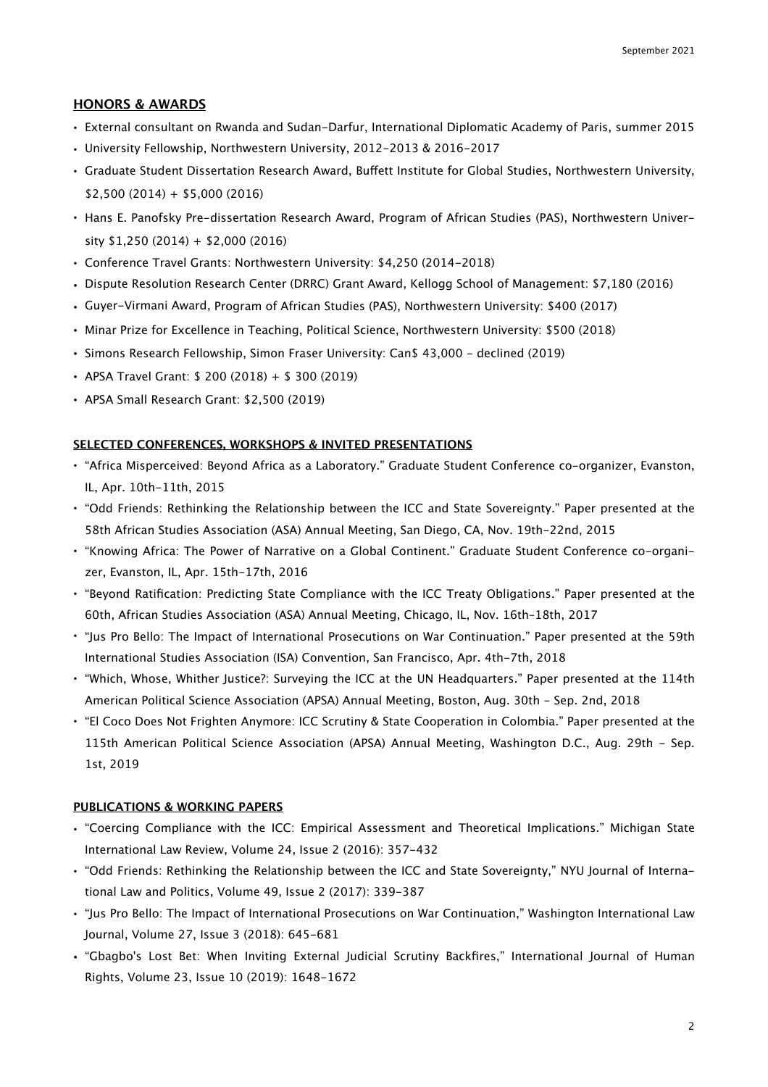## **HONORS & AWARDS**

- External consultant on Rwanda and Sudan-Darfur, International Diplomatic Academy of Paris, summer 2015
- University Fellowship, Northwestern University, 2012-2013 & 2016-2017
- Graduate Student Dissertation Research Award, Buffett Institute for Global Studies, Northwestern University,  $$2,500 (2014) + $5,000 (2016)$
- Hans E. Panofsky Pre-dissertation Research Award, Program of African Studies (PAS), Northwestern University \$1,250 (2014) + \$2,000 (2016)
- Conference Travel Grants: Northwestern University: \$4,250 (2014-2018)
- Dispute Resolution Research Center (DRRC) Grant Award, Kellogg School of Management: \$7,180 (2016)
- Guyer-Virmani Award, Program of African Studies (PAS), Northwestern University: \$400 (2017)
- Minar Prize for Excellence in Teaching, Political Science, Northwestern University: \$500 (2018)
- Simons Research Fellowship, Simon Fraser University: Can\$ 43,000 declined (2019)
- APSA Travel Grant: \$ 200 (2018) + \$ 300 (2019)
- APSA Small Research Grant: \$2,500 (2019)

#### **SELECTED CONFERENCES, WORKSHOPS & INVITED PRESENTATIONS**

- "Africa Misperceived: Beyond Africa as a Laboratory." Graduate Student Conference co-organizer, Evanston, IL, Apr. 10th-11th, 2015
- "Odd Friends: Rethinking the Relationship between the ICC and State Sovereignty." Paper presented at the 58th African Studies Association (ASA) Annual Meeting, San Diego, CA, Nov. 19th-22nd, 2015
- "Knowing Africa: The Power of Narrative on a Global Continent." Graduate Student Conference co-organizer, Evanston, IL, Apr. 15th-17th, 2016
- "Beyond Ratification: Predicting State Compliance with the ICC Treaty Obligations." Paper presented at the 60th, African Studies Association (ASA) Annual Meeting, Chicago, IL, Nov. 16th–18th, 2017
- "Jus Pro Bello: The Impact of International Prosecutions on War Continuation." Paper presented at the 59th International Studies Association (ISA) Convention, San Francisco, Apr. 4th-7th, 2018
- "Which, Whose, Whither Justice?: Surveying the ICC at the UN Headquarters." Paper presented at the 114th American Political Science Association (APSA) Annual Meeting, Boston, Aug. 30th - Sep. 2nd, 2018
- "El Coco Does Not Frighten Anymore: ICC Scrutiny & State Cooperation in Colombia." Paper presented at the 115th American Political Science Association (APSA) Annual Meeting, Washington D.C., Aug. 29th - Sep. 1st, 2019

#### **PUBLICATIONS & WORKING PAPERS**

- "Coercing Compliance with the ICC: Empirical Assessment and Theoretical Implications." Michigan State International Law Review, Volume 24, Issue 2 (2016): 357-432
- "Odd Friends: Rethinking the Relationship between the ICC and State Sovereignty," NYU Journal of International Law and Politics, Volume 49, Issue 2 (2017): 339-387
- "Jus Pro Bello: The Impact of International Prosecutions on War Continuation," Washington International Law Journal, Volume 27, Issue 3 (2018): 645-681
- "Gbagbo's Lost Bet: When Inviting External Judicial Scrutiny Backfires," International Journal of Human Rights, Volume 23, Issue 10 (2019): 1648-1672